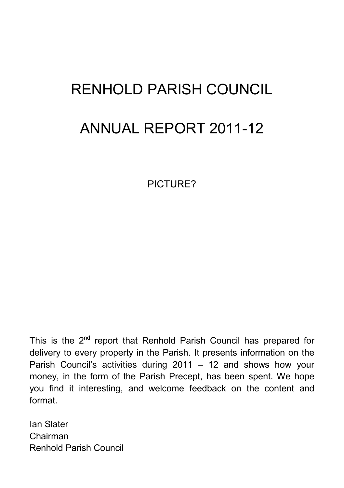# RENHOLD PARISH COUNCIL ANNUAL REPORT 2011-12

PICTURE?

This is the  $2^{nd}$  report that Renhold Parish Council has prepared for delivery to every property in the Parish. It presents information on the Parish Council's activities during 2011 – 12 and shows how your money, in the form of the Parish Precept, has been spent. We hope you find it interesting, and welcome feedback on the content and format.

Ian Slater Chairman Renhold Parish Council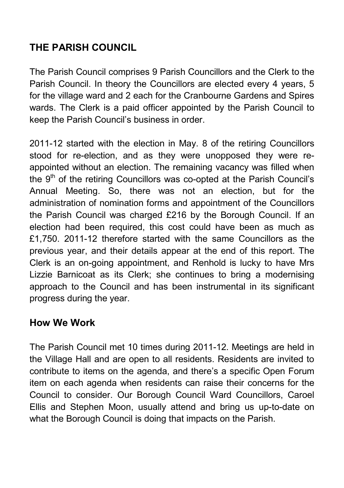## **THE PARISH COUNCIL**

The Parish Council comprises 9 Parish Councillors and the Clerk to the Parish Council. In theory the Councillors are elected every 4 years, 5 for the village ward and 2 each for the Cranbourne Gardens and Spires wards. The Clerk is a paid officer appointed by the Parish Council to keep the Parish Council's business in order.

2011-12 started with the election in May. 8 of the retiring Councillors stood for re-election, and as they were unopposed they were reappointed without an election. The remaining vacancy was filled when the 9<sup>th</sup> of the retiring Councillors was co-opted at the Parish Council's Annual Meeting. So, there was not an election, but for the administration of nomination forms and appointment of the Councillors the Parish Council was charged £216 by the Borough Council. If an election had been required, this cost could have been as much as £1,750. 2011-12 therefore started with the same Councillors as the previous year, and their details appear at the end of this report. The Clerk is an on-going appointment, and Renhold is lucky to have Mrs Lizzie Barnicoat as its Clerk; she continues to bring a modernising approach to the Council and has been instrumental in its significant progress during the year.

## **How We Work**

The Parish Council met 10 times during 2011-12. Meetings are held in the Village Hall and are open to all residents. Residents are invited to contribute to items on the agenda, and there's a specific Open Forum item on each agenda when residents can raise their concerns for the Council to consider. Our Borough Council Ward Councillors, Caroel Ellis and Stephen Moon, usually attend and bring us up-to-date on what the Borough Council is doing that impacts on the Parish.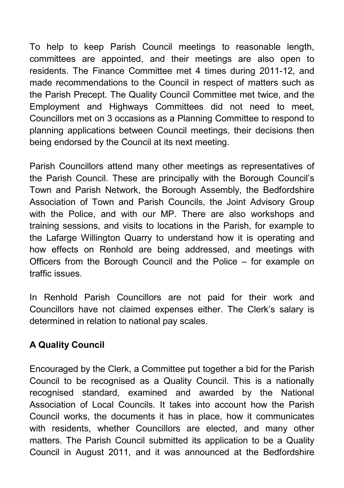To help to keep Parish Council meetings to reasonable length, committees are appointed, and their meetings are also open to residents. The Finance Committee met 4 times during 2011-12, and made recommendations to the Council in respect of matters such as the Parish Precept. The Quality Council Committee met twice, and the Employment and Highways Committees did not need to meet, Councillors met on 3 occasions as a Planning Committee to respond to planning applications between Council meetings, their decisions then being endorsed by the Council at its next meeting.

Parish Councillors attend many other meetings as representatives of the Parish Council. These are principally with the Borough Council's Town and Parish Network, the Borough Assembly, the Bedfordshire Association of Town and Parish Councils, the Joint Advisory Group with the Police, and with our MP. There are also workshops and training sessions, and visits to locations in the Parish, for example to the Lafarge Willington Quarry to understand how it is operating and how effects on Renhold are being addressed, and meetings with Officers from the Borough Council and the Police – for example on traffic issues.

In Renhold Parish Councillors are not paid for their work and Councillors have not claimed expenses either. The Clerk's salary is determined in relation to national pay scales.

## **A Quality Council**

Encouraged by the Clerk, a Committee put together a bid for the Parish Council to be recognised as a Quality Council. This is a nationally recognised standard, examined and awarded by the National Association of Local Councils. It takes into account how the Parish Council works, the documents it has in place, how it communicates with residents, whether Councillors are elected, and many other matters. The Parish Council submitted its application to be a Quality Council in August 2011, and it was announced at the Bedfordshire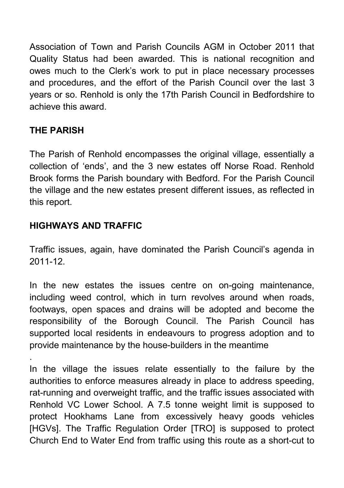Association of Town and Parish Councils AGM in October 2011 that Quality Status had been awarded. This is national recognition and owes much to the Clerk's work to put in place necessary processes and procedures, and the effort of the Parish Council over the last 3 years or so. Renhold is only the 17th Parish Council in Bedfordshire to achieve this award.

## **THE PARISH**

.

The Parish of Renhold encompasses the original village, essentially a collection of 'ends', and the 3 new estates off Norse Road. Renhold Brook forms the Parish boundary with Bedford. For the Parish Council the village and the new estates present different issues, as reflected in this report.

## **HIGHWAYS AND TRAFFIC**

Traffic issues, again, have dominated the Parish Council's agenda in 2011-12.

In the new estates the issues centre on on-going maintenance, including weed control, which in turn revolves around when roads, footways, open spaces and drains will be adopted and become the responsibility of the Borough Council. The Parish Council has supported local residents in endeavours to progress adoption and to provide maintenance by the house-builders in the meantime

In the village the issues relate essentially to the failure by the authorities to enforce measures already in place to address speeding, rat-running and overweight traffic, and the traffic issues associated with Renhold VC Lower School. A 7.5 tonne weight limit is supposed to protect Hookhams Lane from excessively heavy goods vehicles [HGVs]. The Traffic Regulation Order [TRO] is supposed to protect Church End to Water End from traffic using this route as a short-cut to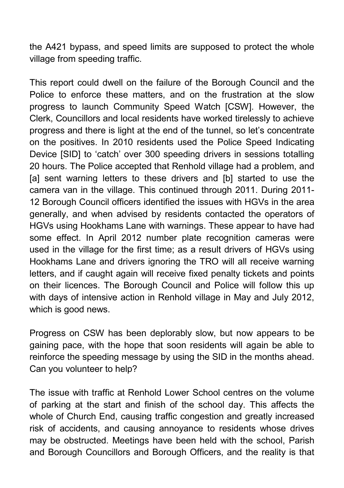the A421 bypass, and speed limits are supposed to protect the whole village from speeding traffic.

This report could dwell on the failure of the Borough Council and the Police to enforce these matters, and on the frustration at the slow progress to launch Community Speed Watch [CSW]. However, the Clerk, Councillors and local residents have worked tirelessly to achieve progress and there is light at the end of the tunnel, so let's concentrate on the positives. In 2010 residents used the Police Speed Indicating Device [SID] to 'catch' over 300 speeding drivers in sessions totalling 20 hours. The Police accepted that Renhold village had a problem, and [a] sent warning letters to these drivers and [b] started to use the camera van in the village. This continued through 2011. During 2011- 12 Borough Council officers identified the issues with HGVs in the area generally, and when advised by residents contacted the operators of HGVs using Hookhams Lane with warnings. These appear to have had some effect. In April 2012 number plate recognition cameras were used in the village for the first time; as a result drivers of HGVs using Hookhams Lane and drivers ignoring the TRO will all receive warning letters, and if caught again will receive fixed penalty tickets and points on their licences. The Borough Council and Police will follow this up with days of intensive action in Renhold village in May and July 2012, which is good news.

Progress on CSW has been deplorably slow, but now appears to be gaining pace, with the hope that soon residents will again be able to reinforce the speeding message by using the SID in the months ahead. Can you volunteer to help?

The issue with traffic at Renhold Lower School centres on the volume of parking at the start and finish of the school day. This affects the whole of Church End, causing traffic congestion and greatly increased risk of accidents, and causing annoyance to residents whose drives may be obstructed. Meetings have been held with the school, Parish and Borough Councillors and Borough Officers, and the reality is that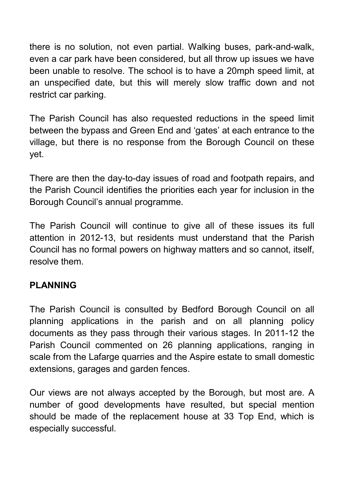there is no solution, not even partial. Walking buses, park-and-walk, even a car park have been considered, but all throw up issues we have been unable to resolve. The school is to have a 20mph speed limit, at an unspecified date, but this will merely slow traffic down and not restrict car parking.

The Parish Council has also requested reductions in the speed limit between the bypass and Green End and 'gates' at each entrance to the village, but there is no response from the Borough Council on these yet.

There are then the day-to-day issues of road and footpath repairs, and the Parish Council identifies the priorities each year for inclusion in the Borough Council's annual programme.

The Parish Council will continue to give all of these issues its full attention in 2012-13, but residents must understand that the Parish Council has no formal powers on highway matters and so cannot, itself, resolve them.

## **PLANNING**

The Parish Council is consulted by Bedford Borough Council on all planning applications in the parish and on all planning policy documents as they pass through their various stages. In 2011-12 the Parish Council commented on 26 planning applications, ranging in scale from the Lafarge quarries and the Aspire estate to small domestic extensions, garages and garden fences.

Our views are not always accepted by the Borough, but most are. A number of good developments have resulted, but special mention should be made of the replacement house at 33 Top End, which is especially successful.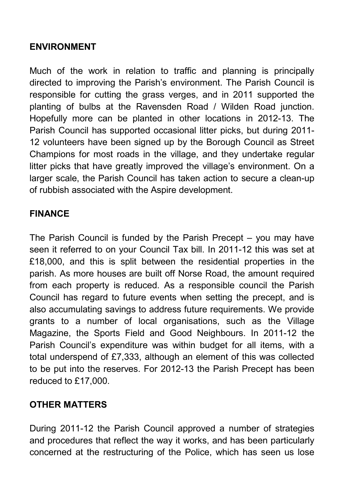#### **ENVIRONMENT**

Much of the work in relation to traffic and planning is principally directed to improving the Parish's environment. The Parish Council is responsible for cutting the grass verges, and in 2011 supported the planting of bulbs at the Ravensden Road / Wilden Road junction. Hopefully more can be planted in other locations in 2012-13. The Parish Council has supported occasional litter picks, but during 2011- 12 volunteers have been signed up by the Borough Council as Street Champions for most roads in the village, and they undertake regular litter picks that have greatly improved the village's environment. On a larger scale, the Parish Council has taken action to secure a clean-up of rubbish associated with the Aspire development.

#### **FINANCE**

The Parish Council is funded by the Parish Precept – you may have seen it referred to on your Council Tax bill. In 2011-12 this was set at £18,000, and this is split between the residential properties in the parish. As more houses are built off Norse Road, the amount required from each property is reduced. As a responsible council the Parish Council has regard to future events when setting the precept, and is also accumulating savings to address future requirements. We provide grants to a number of local organisations, such as the Village Magazine, the Sports Field and Good Neighbours. In 2011-12 the Parish Council's expenditure was within budget for all items, with a total underspend of £7,333, although an element of this was collected to be put into the reserves. For 2012-13 the Parish Precept has been reduced to £17,000.

## **OTHER MATTERS**

During 2011-12 the Parish Council approved a number of strategies and procedures that reflect the way it works, and has been particularly concerned at the restructuring of the Police, which has seen us lose